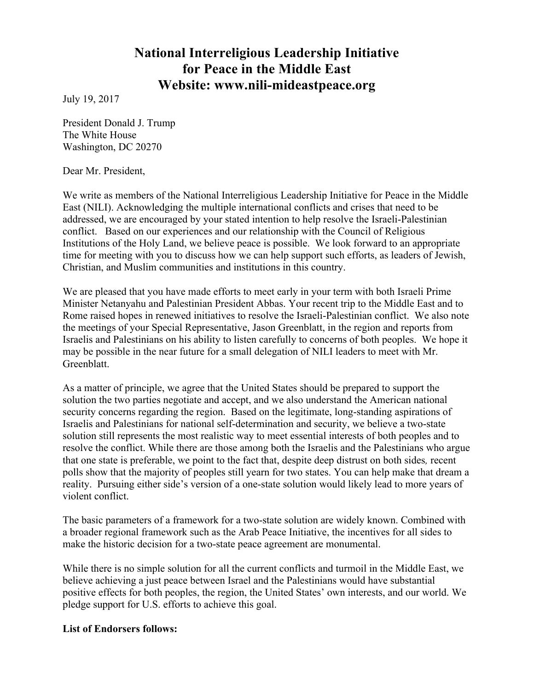# **National Interreligious Leadership Initiative for Peace in the Middle East Website: www.nili-mideastpeace.org**

July 19, 2017

President Donald J. Trump The White House Washington, DC 20270

Dear Mr. President,

We write as members of the National Interreligious Leadership Initiative for Peace in the Middle East (NILI). Acknowledging the multiple international conflicts and crises that need to be addressed, we are encouraged by your stated intention to help resolve the Israeli-Palestinian conflict. Based on our experiences and our relationship with the Council of Religious Institutions of the Holy Land, we believe peace is possible. We look forward to an appropriate time for meeting with you to discuss how we can help support such efforts, as leaders of Jewish, Christian, and Muslim communities and institutions in this country.

We are pleased that you have made efforts to meet early in your term with both Israeli Prime Minister Netanyahu and Palestinian President Abbas. Your recent trip to the Middle East and to Rome raised hopes in renewed initiatives to resolve the Israeli-Palestinian conflict. We also note the meetings of your Special Representative, Jason Greenblatt, in the region and reports from Israelis and Palestinians on his ability to listen carefully to concerns of both peoples. We hope it may be possible in the near future for a small delegation of NILI leaders to meet with Mr. **Greenblatt** 

As a matter of principle, we agree that the United States should be prepared to support the solution the two parties negotiate and accept, and we also understand the American national security concerns regarding the region. Based on the legitimate, long-standing aspirations of Israelis and Palestinians for national self-determination and security, we believe a two-state solution still represents the most realistic way to meet essential interests of both peoples and to resolve the conflict. While there are those among both the Israelis and the Palestinians who argue that one state is preferable, we point to the fact that, despite deep distrust on both sides*,* recent polls show that the majority of peoples still yearn for two states. You can help make that dream a reality. Pursuing either side's version of a one-state solution would likely lead to more years of violent conflict.

The basic parameters of a framework for a two-state solution are widely known. Combined with a broader regional framework such as the Arab Peace Initiative, the incentives for all sides to make the historic decision for a two-state peace agreement are monumental.

While there is no simple solution for all the current conflicts and turmoil in the Middle East, we believe achieving a just peace between Israel and the Palestinians would have substantial positive effects for both peoples, the region, the United States' own interests, and our world. We pledge support for U.S. efforts to achieve this goal.

## **List of Endorsers follows:**